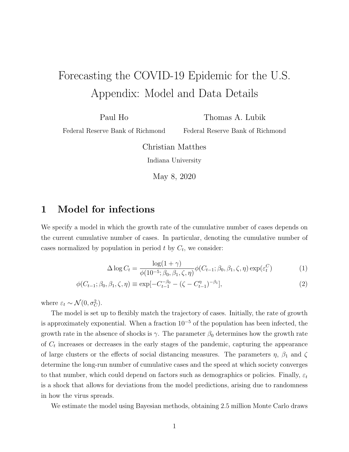## Forecasting the COVID-19 Epidemic for the U.S. Appendix: Model and Data Details

Paul Ho

Thomas A. Lubik

Federal Reserve Bank of Richmond

Federal Reserve Bank of Richmond

Christian Matthes Indiana University

May 8, 2020

## 1 Model for infections

We specify a model in which the growth rate of the cumulative number of cases depends on the current cumulative number of cases. In particular, denoting the cumulative number of cases normalized by population in period  $t$  by  $C_t$ , we consider:

$$
\Delta \log C_t = \frac{\log(1+\gamma)}{\phi(10^{-5}; \beta_0, \beta_1, \zeta, \eta)} \phi(C_{t-1}; \beta_0, \beta_1, \zeta, \eta) \exp(\varepsilon_t^C)
$$
(1)

$$
\phi(C_{t-1}; \beta_0, \beta_1, \zeta, \eta) \equiv \exp[-C_{t-1}^{-\beta_0} - (\zeta - C_{t-1}^{\eta})^{-\beta_1}], \tag{2}
$$

where  $\varepsilon_t \sim \mathcal{N}(0, \sigma_C^2)$ .

The model is set up to flexibly match the trajectory of cases. Initially, the rate of growth is approximately exponential. When a fraction  $10^{-5}$  of the population has been infected, the growth rate in the absence of shocks is  $\gamma$ . The parameter  $\beta_0$  determines how the growth rate of  $C_t$  increases or decreases in the early stages of the pandemic, capturing the appearance of large clusters or the effects of social distancing measures. The parameters  $\eta$ ,  $\beta_1$  and  $\zeta$ determine the long-run number of cumulative cases and the speed at which society converges to that number, which could depend on factors such as demographics or policies. Finally,  $\varepsilon_t$ is a shock that allows for deviations from the model predictions, arising due to randomness in how the virus spreads.

We estimate the model using Bayesian methods, obtaining 2.5 million Monte Carlo draws